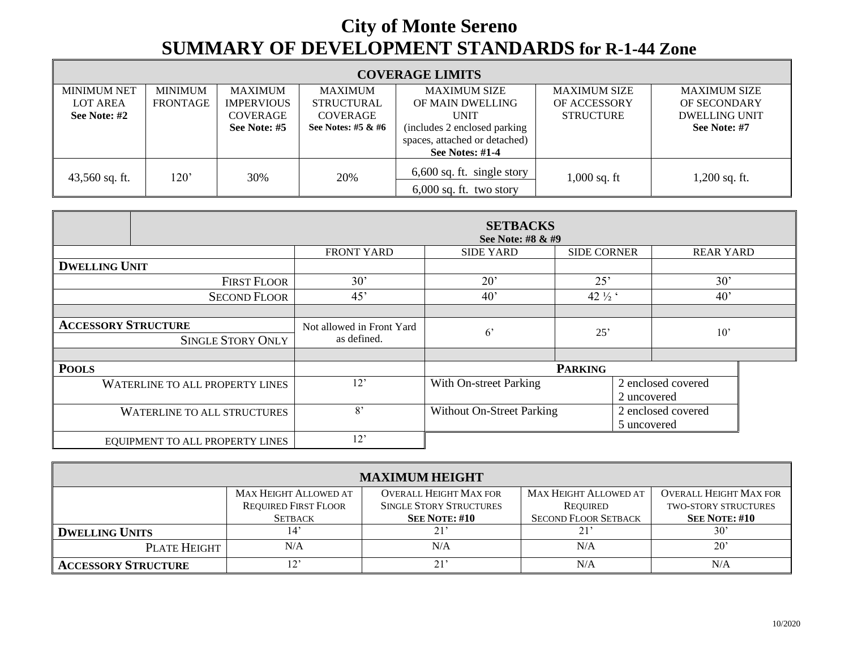## **City of Monte Sereno SUMMARY OF DEVELOPMENT STANDARDS for R-1-44 Zone**

| <b>COVERAGE LIMITS</b> |                 |                   |                    |                                                           |                     |                      |  |  |
|------------------------|-----------------|-------------------|--------------------|-----------------------------------------------------------|---------------------|----------------------|--|--|
| <b>MINIMUM NET</b>     | MINIMUM         | <b>MAXIMUM</b>    | <b>MAXIMUM</b>     | <b>MAXIMUM SIZE</b>                                       | <b>MAXIMUM SIZE</b> | <b>MAXIMUM SIZE</b>  |  |  |
| <b>LOT AREA</b>        | <b>FRONTAGE</b> | <b>IMPERVIOUS</b> | <b>STRUCTURAL</b>  | OF MAIN DWELLING                                          | OF ACCESSORY        | OF SECONDARY         |  |  |
| See Note: #2           |                 | <b>COVERAGE</b>   | COVERAGE           | <b>UNIT</b>                                               | <b>STRUCTURE</b>    | <b>DWELLING UNIT</b> |  |  |
|                        |                 | See Note: #5      | See Notes: #5 & #6 | (includes 2 enclosed parking                              |                     | See Note: #7         |  |  |
|                        |                 |                   |                    | spaces, attached or detached)                             |                     |                      |  |  |
|                        |                 |                   |                    | See Notes: $#1-4$                                         |                     |                      |  |  |
| $43,560$ sq. ft.       | 120'            | 30%               | 20%                | $6,600$ sq. ft. single story<br>$6,000$ sq. ft. two story | $1,000$ sq. ft      | $1,200$ sq. ft.      |  |  |

|                                    | <b>SETBACKS</b><br>See Note: #8 & #9 |                                  |                    |                                   |                  |  |  |  |
|------------------------------------|--------------------------------------|----------------------------------|--------------------|-----------------------------------|------------------|--|--|--|
|                                    | <b>FRONT YARD</b>                    | <b>SIDE YARD</b>                 | <b>SIDE CORNER</b> |                                   | <b>REAR YARD</b> |  |  |  |
| <b>DWELLING UNIT</b>               |                                      |                                  |                    |                                   |                  |  |  |  |
| <b>FIRST FLOOR</b>                 | 30'                                  | $20^{\circ}$                     | 25'                |                                   | 30'              |  |  |  |
| <b>SECOND FLOOR</b>                | 45'                                  | 40 <sup>o</sup>                  | 42 1/2 '           |                                   | 40'              |  |  |  |
|                                    |                                      |                                  |                    |                                   |                  |  |  |  |
| <b>ACCESSORY STRUCTURE</b>         | Not allowed in Front Yard            | $6^{\circ}$                      | 25'                |                                   | 10'              |  |  |  |
| <b>SINGLE STORY ONLY</b>           | as defined.                          |                                  |                    |                                   |                  |  |  |  |
|                                    |                                      |                                  |                    |                                   |                  |  |  |  |
| <b>POOLS</b>                       |                                      | <b>PARKING</b>                   |                    |                                   |                  |  |  |  |
| WATERLINE TO ALL PROPERTY LINES    | 12'                                  | With On-street Parking           |                    | 2 enclosed covered<br>2 uncovered |                  |  |  |  |
| <b>WATERLINE TO ALL STRUCTURES</b> | 8'                                   | <b>Without On-Street Parking</b> |                    | 2 enclosed covered<br>5 uncovered |                  |  |  |  |
| EQUIPMENT TO ALL PROPERTY LINES    | 12'                                  |                                  |                    |                                   |                  |  |  |  |

| <b>MAXIMUM HEIGHT</b>      |                              |                                |                              |                               |  |  |  |  |
|----------------------------|------------------------------|--------------------------------|------------------------------|-------------------------------|--|--|--|--|
|                            | <b>MAX HEIGHT ALLOWED AT</b> | <b>OVERALL HEIGHT MAX FOR</b>  | <b>MAX HEIGHT ALLOWED AT</b> | <b>OVERALL HEIGHT MAX FOR</b> |  |  |  |  |
|                            | <b>REQUIRED FIRST FLOOR</b>  | <b>SINGLE STORY STRUCTURES</b> | REQUIRED                     | <b>TWO-STORY STRUCTURES</b>   |  |  |  |  |
|                            | <b>SETBACK</b>               | <b>SEE NOTE: #10</b>           | <b>SECOND FLOOR SETBACK</b>  | <b>SEE NOTE: #10</b>          |  |  |  |  |
| <b>DWELLING UNITS</b>      | 14'                          | 21'                            | 21'                          | $30^{\circ}$                  |  |  |  |  |
| PLATE HEIGHT               | N/A                          | N/A                            | N/A                          | $20^{\circ}$                  |  |  |  |  |
| <b>ACCESSORY STRUCTURE</b> | $12^{\circ}$                 | 21'                            | N/A                          | N/A                           |  |  |  |  |